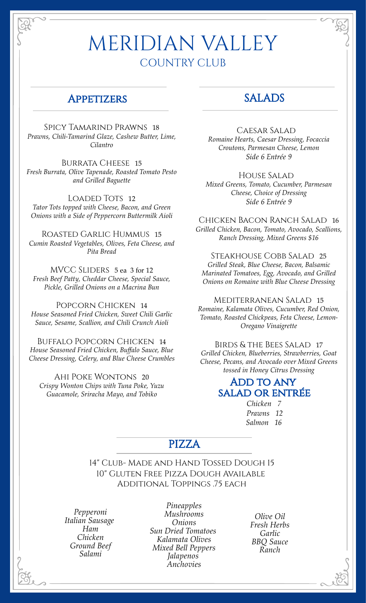# MERIDIAN VALLEY COUNTRY CLUB

#### **APPETIZERS**

Spicy Tamarind Prawns 18 *Prawns, Chili-Tamarind Glaze, Cashew Butter, Lime, Cilantro*

BURRATA CHEESE 15 *Fresh Burrata, Olive Tapenade, Roasted Tomato Pesto and Grilled Baguette*

LOADED TOTS 12 *Tator Tots topped with Cheese, Bacon, and Green Onions with a Side of Peppercorn Buttermilk Aioli*

Roasted Garlic Hummus 15 *Cumin Roasted Vegetables, Olives, Feta Cheese, and Pita Bread*

MVCC SLIDERS 5 ea 3 for 12 *Fresh Beef Patty, Cheddar Cheese, Special Sauce, Pickle, Grilled Onions on a Macrina Bun*

POPCORN CHICKEN 14 *House Seasoned Fried Chicken, Sweet Chili Garlic Sauce, Sesame, Scallion, and Chili Crunch Aioli*

Buffalo Popcorn Chicken 14 *House Seasoned Fried Chicken, Buffalo Sauce, Blue Cheese Dressing, Celery, and Blue Cheese Crumbles*

Ahi Poke Wontons 20 *Crispy Wonton Chips with Tuna Poke, Yuzu Guacamole, Sriracha Mayo, and Tobiko*

### SALADS

Caesar Salad

*Romaine Hearts, Caesar Dressing, Focaccia Croutons, Parmesan Cheese, Lemon Side 6 Entrée 9*

House Salad *Mixed Greens, Tomato, Cucumber, Parmesan Cheese, Choice of Dressing Side 6 Entrée 9*

Chicken Bacon Ranch Salad 16 *Grilled Chicken, Bacon, Tomato, Avocado, Scallions, Ranch Dressing, Mixed Greens \$16*

Steakhouse Cobb Salad 25 *Grilled Steak, Blue Cheese, Bacon, Balsamic Marinated Tomatoes, Egg, Avocado, and Grilled Onions on Romaine with Blue Cheese Dressing*

Mediterranean Salad 15 *Romaine, Kalamata Olives, Cucumber, Red Onion, Tomato, Roasted Chickpeas, Feta Cheese, Lemon-Oregano Vinaigrette*

Birds & the Bees Salad 17 *Grilled Chicken, Blueberries, Strawberries, Goat Cheese, Pecans, and Avocado over Mixed Greens tossed in Honey Citrus Dressing*

#### ADD TO ANY salad or entrée

 *Chicken 7 Prawns 12 Salmon 16*

#### PIZZA

14" Club- Made and Hand Tossed Dough 15 10" Gluten Free Pizza Dough Available Additional Toppings .75 each

*Pepperoni Italian Sausage Ham Chicken Ground Beef Salami*

*Pineapples Mushrooms Onions Sun Dried Tomatoes Kalamata Olives Mixed Bell Peppers Jalapenos Anchovies*

*Olive Oil Fresh Herbs Garlic BBQ Sauce Ranch*